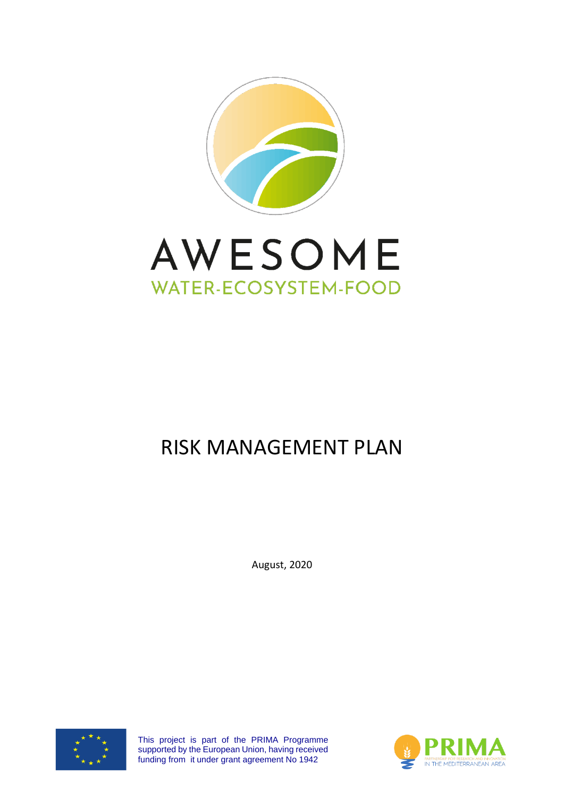



# RISK MANAGEMENT PLAN

August, 2020



This project is part of the PRIMA Programme supported by the European Union, having received funding from it under grant agreement No 1942

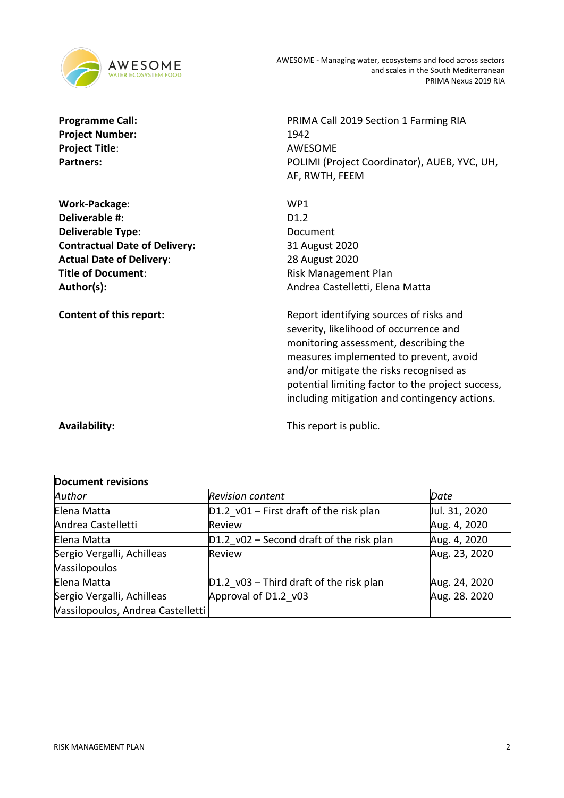

Project Number: 1942 **Project Title**: AWESOME

**Work-Package**: WP1 **Deliverable #:** D1.2 **Deliverable Type:** Document **Contractual Date of Delivery:** 31 August 2020 **Actual Date of Delivery**: 28 August 2020 **Title of Document:**  $Risk Management Plan$ 

**Programme Call:** PRIMA Call 2019 Section 1 Farming RIA Partners: POLIMI (Project Coordinator), AUEB, YVC, UH, AF, RWTH, FEEM

Author(s): Author(s): Andrea Castelletti, Elena Matta

**Content of this report:** Report identifying sources of risks and severity, likelihood of occurrence and monitoring assessment, describing the measures implemented to prevent, avoid and/or mitigate the risks recognised as potential limiting factor to the project success, including mitigation and contingency actions.

**Availability:** This report is public.

| <b>Document revisions</b>                                       |                                            |               |  |  |  |
|-----------------------------------------------------------------|--------------------------------------------|---------------|--|--|--|
| Author                                                          | <b>Revision content</b>                    | Date          |  |  |  |
| Elena Matta                                                     | $D1.2$ v01 – First draft of the risk plan  | Jul. 31, 2020 |  |  |  |
| Andrea Castelletti                                              | Review                                     | Aug. 4, 2020  |  |  |  |
| Elena Matta                                                     | $D1.2$ v02 – Second draft of the risk plan | Aug. 4, 2020  |  |  |  |
| Sergio Vergalli, Achilleas<br>Vassilopoulos                     | <b>Review</b>                              | Aug. 23, 2020 |  |  |  |
| Elena Matta                                                     | $D1.2$ v03 – Third draft of the risk plan  | Aug. 24, 2020 |  |  |  |
| Sergio Vergalli, Achilleas<br>Vassilopoulos, Andrea Castelletti | Approval of D1.2 v03                       | Aug. 28. 2020 |  |  |  |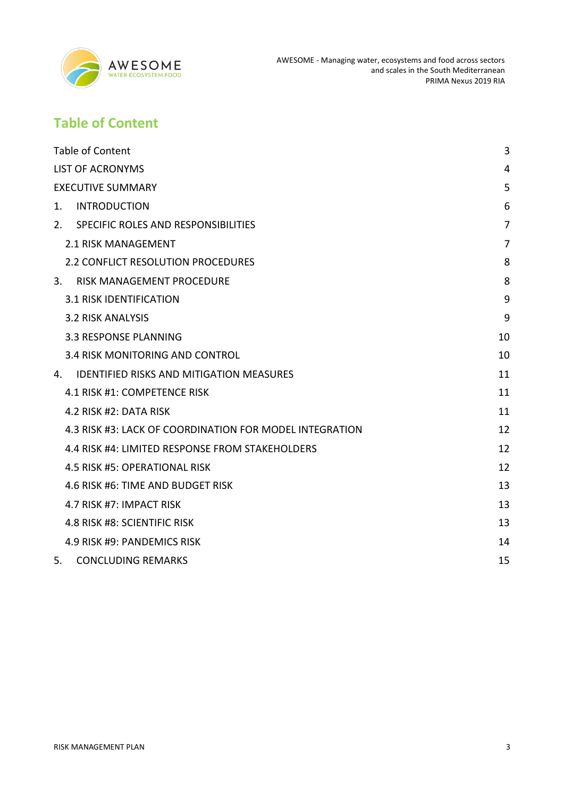

# <span id="page-2-0"></span>**Table of Content**

| <b>Table of Content</b>                                 | 3              |
|---------------------------------------------------------|----------------|
| <b>LIST OF ACRONYMS</b>                                 | 4              |
| <b>EXECUTIVE SUMMARY</b>                                | 5              |
| 1.<br><b>INTRODUCTION</b>                               | 6              |
| 2.<br>SPECIFIC ROLES AND RESPONSIBILITIES               | 7              |
| 2.1 RISK MANAGEMENT                                     | $\overline{7}$ |
| <b>2.2 CONFLICT RESOLUTION PROCEDURES</b>               | 8              |
| 3.<br>RISK MANAGEMENT PROCEDURE                         | 8              |
| <b>3.1 RISK IDENTIFICATION</b>                          | 9              |
| <b>3.2 RISK ANALYSIS</b>                                | 9              |
| 3.3 RESPONSE PLANNING                                   | 10             |
| 3.4 RISK MONITORING AND CONTROL                         | 10             |
| <b>IDENTIFIED RISKS AND MITIGATION MEASURES</b><br>4.   | 11             |
| 4.1 RISK #1: COMPETENCE RISK                            | 11             |
| 4.2 RISK #2: DATA RISK                                  | 11             |
| 4.3 RISK #3: LACK OF COORDINATION FOR MODEL INTEGRATION | 12             |
| 4.4 RISK #4: LIMITED RESPONSE FROM STAKEHOLDERS         | 12             |
| 4.5 RISK #5: OPERATIONAL RISK                           | 12             |
| 4.6 RISK #6: TIME AND BUDGET RISK                       | 13             |
| 4.7 RISK #7: IMPACT RISK                                | 13             |
| 4.8 RISK #8: SCIENTIFIC RISK                            | 13             |
| 4.9 RISK #9: PANDEMICS RISK                             | 14             |
| 5.<br><b>CONCLUDING REMARKS</b>                         | 15             |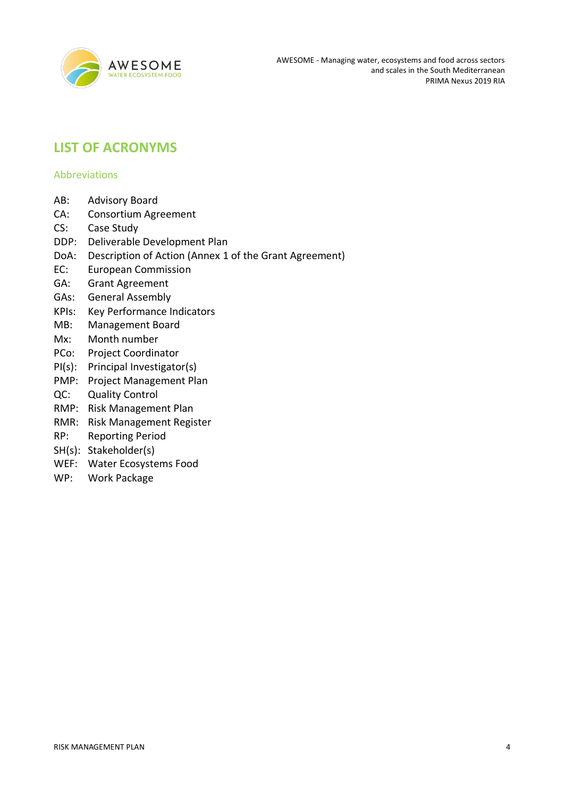

# <span id="page-3-0"></span>**LIST OF ACRONYMS**

#### Abbreviations

- AB: Advisory Board
- CA: Consortium Agreement
- CS: Case Study
- DDP: Deliverable Development Plan
- DoA: Description of Action (Annex 1 of the Grant Agreement)
- EC: European Commission
- GA: Grant Agreement
- GAs: General Assembly
- KPIs: Key Performance Indicators
- MB: Management Board
- Mx: Month number
- PCo: Project Coordinator
- PI(s): Principal Investigator(s)
- PMP: Project Management Plan
- QC: Quality Control
- RMP: Risk Management Plan
- RMR: Risk Management Register
- RP: Reporting Period
- SH(s): Stakeholder(s)
- WEF: Water Ecosystems Food
- WP: Work Package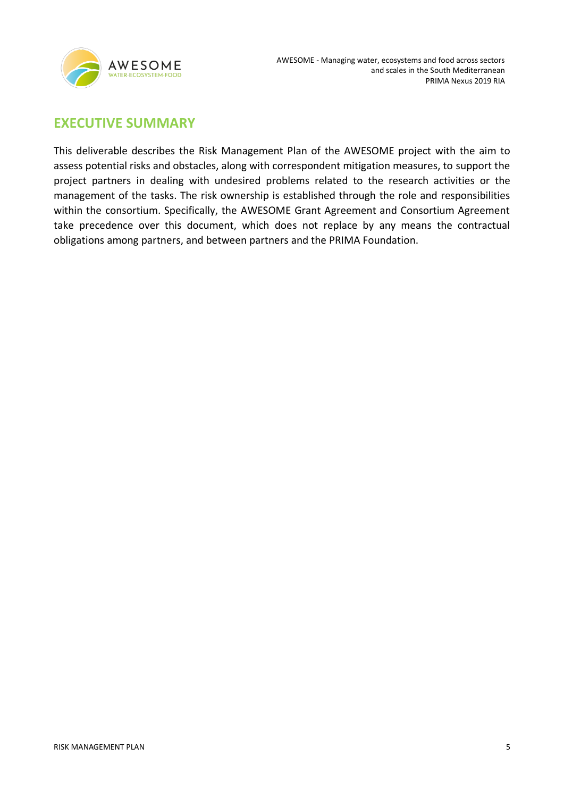

# <span id="page-4-0"></span>**EXECUTIVE SUMMARY**

This deliverable describes the Risk Management Plan of the AWESOME project with the aim to assess potential risks and obstacles, along with correspondent mitigation measures, to support the project partners in dealing with undesired problems related to the research activities or the management of the tasks. The risk ownership is established through the role and responsibilities within the consortium. Specifically, the AWESOME Grant Agreement and Consortium Agreement take precedence over this document, which does not replace by any means the contractual obligations among partners, and between partners and the PRIMA Foundation.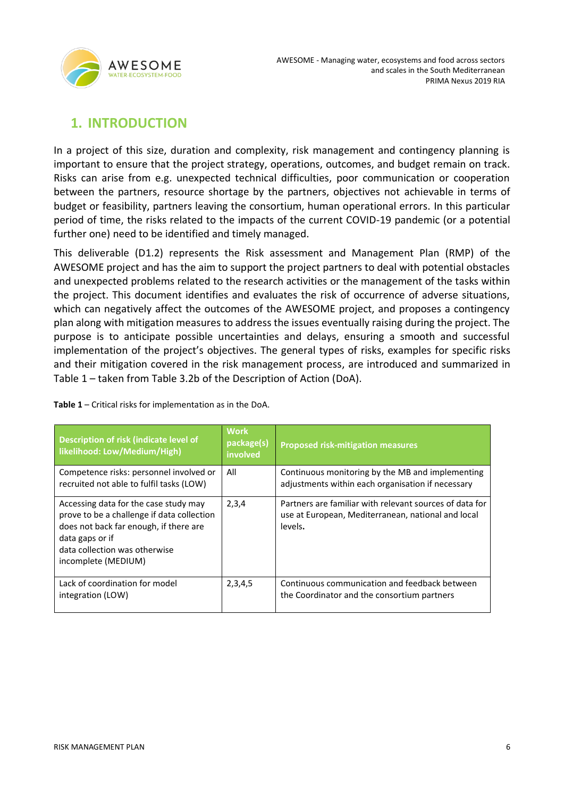

# <span id="page-5-0"></span>**1. INTRODUCTION**

In a project of this size, duration and complexity, risk management and contingency planning is important to ensure that the project strategy, operations, outcomes, and budget remain on track. Risks can arise from e.g. unexpected technical difficulties, poor communication or cooperation between the partners, resource shortage by the partners, objectives not achievable in terms of budget or feasibility, partners leaving the consortium, human operational errors. In this particular period of time, the risks related to the impacts of the current COVID-19 pandemic (or a potential further one) need to be identified and timely managed.

This deliverable (D1.2) represents the Risk assessment and Management Plan (RMP) of the AWESOME project and has the aim to support the project partners to deal with potential obstacles and unexpected problems related to the research activities or the management of the tasks within the project. This document identifies and evaluates the risk of occurrence of adverse situations, which can negatively affect the outcomes of the AWESOME project, and proposes a contingency plan along with mitigation measures to address the issues eventually raising during the project. The purpose is to anticipate possible uncertainties and delays, ensuring a smooth and successful implementation of the project's objectives. The general types of risks, examples for specific risks and their mitigation covered in the risk management process, are introduced and summarized in Table 1 – taken from Table 3.2b of the Description of Action (DoA).

| Description of risk (indicate level of<br>likelihood: Low/Medium/High)                                                                                                                                   | <b>Work</b><br>package(s)<br>involved | <b>Proposed risk-mitigation measures</b>                                                                                 |
|----------------------------------------------------------------------------------------------------------------------------------------------------------------------------------------------------------|---------------------------------------|--------------------------------------------------------------------------------------------------------------------------|
| Competence risks: personnel involved or<br>recruited not able to fulfil tasks (LOW)                                                                                                                      | All                                   | Continuous monitoring by the MB and implementing<br>adjustments within each organisation if necessary                    |
| Accessing data for the case study may<br>prove to be a challenge if data collection<br>does not back far enough, if there are<br>data gaps or if<br>data collection was otherwise<br>incomplete (MEDIUM) | 2,3,4                                 | Partners are familiar with relevant sources of data for<br>use at European, Mediterranean, national and local<br>levels. |
| Lack of coordination for model<br>integration (LOW)                                                                                                                                                      | 2,3,4,5                               | Continuous communication and feedback between<br>the Coordinator and the consortium partners                             |

**Table 1** – Critical risks for implementation as in the DoA.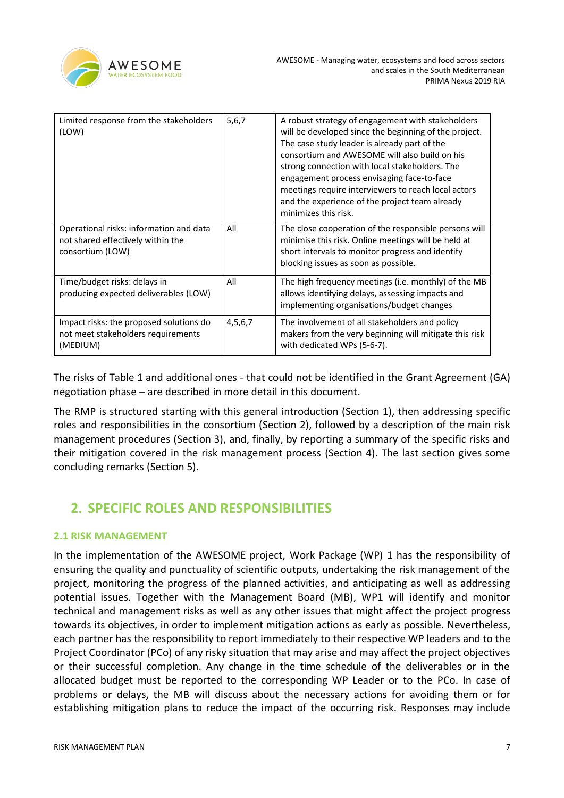

| Limited response from the stakeholders<br>(LOW)                                                  | 5,6,7   | A robust strategy of engagement with stakeholders<br>will be developed since the beginning of the project.<br>The case study leader is already part of the<br>consortium and AWESOME will also build on his<br>strong connection with local stakeholders. The<br>engagement process envisaging face-to-face<br>meetings require interviewers to reach local actors<br>and the experience of the project team already<br>minimizes this risk. |
|--------------------------------------------------------------------------------------------------|---------|----------------------------------------------------------------------------------------------------------------------------------------------------------------------------------------------------------------------------------------------------------------------------------------------------------------------------------------------------------------------------------------------------------------------------------------------|
| Operational risks: information and data<br>not shared effectively within the<br>consortium (LOW) | All     | The close cooperation of the responsible persons will<br>minimise this risk. Online meetings will be held at<br>short intervals to monitor progress and identify<br>blocking issues as soon as possible.                                                                                                                                                                                                                                     |
| Time/budget risks: delays in<br>producing expected deliverables (LOW)                            | All     | The high frequency meetings (i.e. monthly) of the MB<br>allows identifying delays, assessing impacts and<br>implementing organisations/budget changes                                                                                                                                                                                                                                                                                        |
| Impact risks: the proposed solutions do<br>not meet stakeholders requirements<br>(MEDIUM)        | 4,5,6,7 | The involvement of all stakeholders and policy<br>makers from the very beginning will mitigate this risk<br>with dedicated WPs (5-6-7).                                                                                                                                                                                                                                                                                                      |

The risks of Table 1 and additional ones - that could not be identified in the Grant Agreement (GA) negotiation phase – are described in more detail in this document.

The RMP is structured starting with this general introduction (Section 1), then addressing specific roles and responsibilities in the consortium (Section 2), followed by a description of the main risk management procedures (Section 3), and, finally, by reporting a summary of the specific risks and their mitigation covered in the risk management process (Section 4). The last section gives some concluding remarks (Section 5).

# <span id="page-6-0"></span>**2. SPECIFIC ROLES AND RESPONSIBILITIES**

### <span id="page-6-1"></span>**2.1 RISK MANAGEMENT**

In the implementation of the AWESOME project, Work Package (WP) 1 has the responsibility of ensuring the quality and punctuality of scientific outputs, undertaking the risk management of the project, monitoring the progress of the planned activities, and anticipating as well as addressing potential issues. Together with the Management Board (MB), WP1 will identify and monitor technical and management risks as well as any other issues that might affect the project progress towards its objectives, in order to implement mitigation actions as early as possible. Nevertheless, each partner has the responsibility to report immediately to their respective WP leaders and to the Project Coordinator (PCo) of any risky situation that may arise and may affect the project objectives or their successful completion. Any change in the time schedule of the deliverables or in the allocated budget must be reported to the corresponding WP Leader or to the PCo. In case of problems or delays, the MB will discuss about the necessary actions for avoiding them or for establishing mitigation plans to reduce the impact of the occurring risk. Responses may include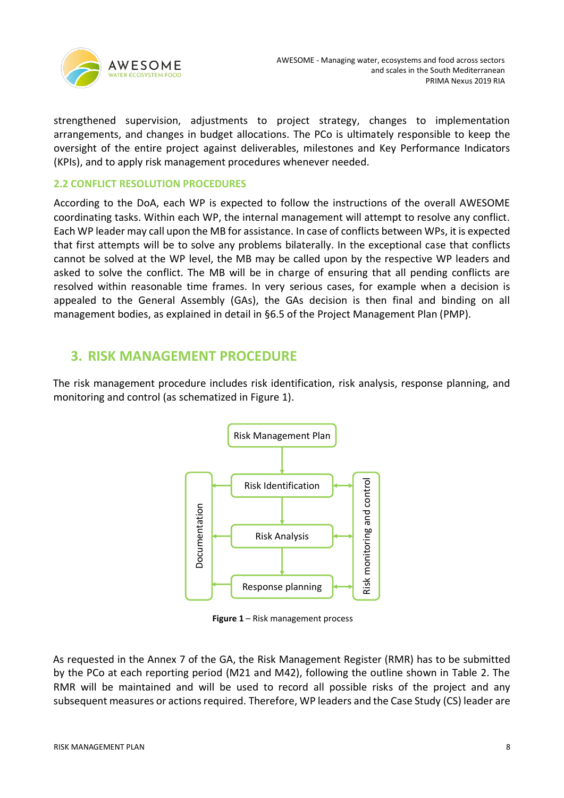

strengthened supervision, adjustments to project strategy, changes to implementation arrangements, and changes in budget allocations. The PCo is ultimately responsible to keep the oversight of the entire project against deliverables, milestones and Key Performance Indicators (KPIs), and to apply risk management procedures whenever needed.

### <span id="page-7-0"></span>**2.2 CONFLICT RESOLUTION PROCEDURES**

According to the DoA, each WP is expected to follow the instructions of the overall AWESOME coordinating tasks. Within each WP, the internal management will attempt to resolve any conflict. Each WP leader may call upon the MB for assistance. In case of conflicts between WPs, it is expected that first attempts will be to solve any problems bilaterally. In the exceptional case that conflicts cannot be solved at the WP level, the MB may be called upon by the respective WP leaders and asked to solve the conflict. The MB will be in charge of ensuring that all pending conflicts are resolved within reasonable time frames. In very serious cases, for example when a decision is appealed to the General Assembly (GAs), the GAs decision is then final and binding on all management bodies, as explained in detail in §6.5 of the Project Management Plan (PMP).

## <span id="page-7-1"></span>**3. RISK MANAGEMENT PROCEDURE**

The risk management procedure includes risk identification, risk analysis, response planning, and monitoring and control (as schematized in Figure 1).



**Figure 1** – Risk management process

As requested in the Annex 7 of the GA, the Risk Management Register (RMR) has to be submitted by the PCo at each reporting period (M21 and M42), following the outline shown in Table 2. The RMR will be maintained and will be used to record all possible risks of the project and any subsequent measures or actions required. Therefore, WP leaders and the Case Study (CS) leader are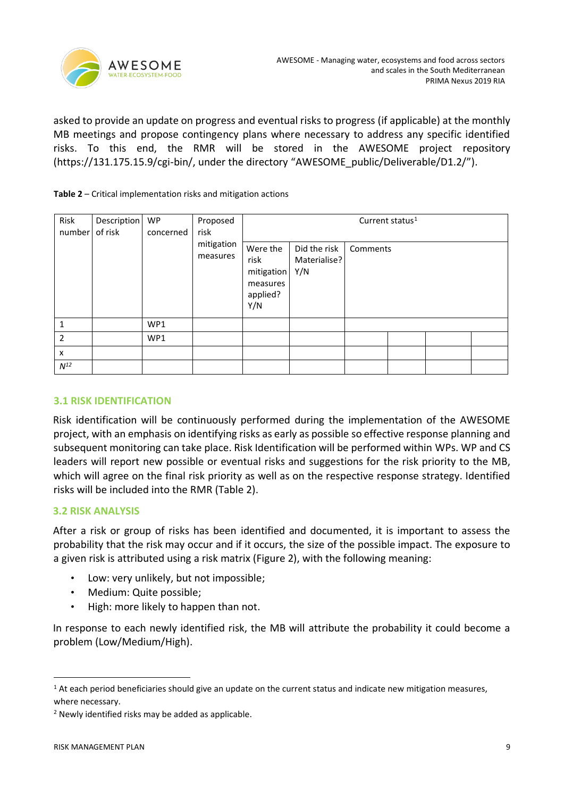

asked to provide an update on progress and eventual risks to progress (if applicable) at the monthly MB meetings and propose contingency plans where necessary to address any specific identified risks. To this end, the RMR will be stored in the AWESOME project repository (https://131.175.15.9/cgi-bin/, under the directory "AWESOME\_public/Deliverable/D1.2/").

#### **Table 2** – Critical implementation risks and mitigation actions

| Risk<br>Description<br><b>WP</b><br>of risk<br>number | concerned | Proposed<br>risk | Current status <sup>1</sup> |                                                               |                                     |          |  |  |  |
|-------------------------------------------------------|-----------|------------------|-----------------------------|---------------------------------------------------------------|-------------------------------------|----------|--|--|--|
|                                                       |           |                  | mitigation<br>measures      | Were the<br>risk<br>mitigation<br>measures<br>applied?<br>Y/N | Did the risk<br>Materialise?<br>Y/N | Comments |  |  |  |
| $\mathbf{1}$                                          |           | WP1              |                             |                                                               |                                     |          |  |  |  |
| $\overline{2}$                                        |           | WP1              |                             |                                                               |                                     |          |  |  |  |
| X                                                     |           |                  |                             |                                                               |                                     |          |  |  |  |
| $N^{12}$                                              |           |                  |                             |                                                               |                                     |          |  |  |  |

### <span id="page-8-0"></span>**3.1 RISK IDENTIFICATION**

Risk identification will be continuously performed during the implementation of the AWESOME project, with an emphasis on identifying risks as early as possible so effective response planning and subsequent monitoring can take place. Risk Identification will be performed within WPs. WP and CS leaders will report new possible or eventual risks and suggestions for the risk priority to the MB, which will agree on the final risk priority as well as on the respective response strategy. Identified risks will be included into the RMR (Table 2).

### <span id="page-8-1"></span>**3.2 RISK ANALYSIS**

After a risk or group of risks has been identified and documented, it is important to assess the probability that the risk may occur and if it occurs, the size of the possible impact. The exposure to a given risk is attributed using a risk matrix (Figure 2), with the following meaning:

- Low: very unlikely, but not impossible;
- Medium: Quite possible;
- High: more likely to happen than not.

In response to each newly identified risk, the MB will attribute the probability it could become a problem (Low/Medium/High).

<sup>&</sup>lt;sup>1</sup> At each period beneficiaries should give an update on the current status and indicate new mitigation measures, where necessary.

<sup>2</sup> Newly identified risks may be added as applicable.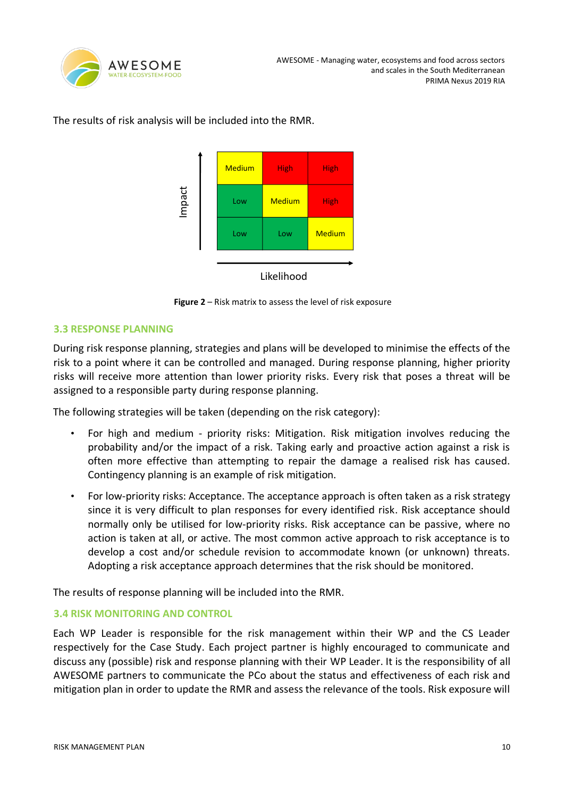

The results of risk analysis will be included into the RMR.



Likelihood

**Figure 2** – Risk matrix to assess the level of risk exposure

### <span id="page-9-0"></span>**3.3 RESPONSE PLANNING**

During risk response planning, strategies and plans will be developed to minimise the effects of the risk to a point where it can be controlled and managed. During response planning, higher priority risks will receive more attention than lower priority risks. Every risk that poses a threat will be assigned to a responsible party during response planning.

The following strategies will be taken (depending on the risk category):

- For high and medium priority risks: Mitigation. Risk mitigation involves reducing the probability and/or the impact of a risk. Taking early and proactive action against a risk is often more effective than attempting to repair the damage a realised risk has caused. Contingency planning is an example of risk mitigation.
- For low-priority risks: Acceptance. The acceptance approach is often taken as a risk strategy since it is very difficult to plan responses for every identified risk. Risk acceptance should normally only be utilised for low-priority risks. Risk acceptance can be passive, where no action is taken at all, or active. The most common active approach to risk acceptance is to develop a cost and/or schedule revision to accommodate known (or unknown) threats. Adopting a risk acceptance approach determines that the risk should be monitored.

The results of response planning will be included into the RMR.

### <span id="page-9-1"></span>**3.4 RISK MONITORING AND CONTROL**

Each WP Leader is responsible for the risk management within their WP and the CS Leader respectively for the Case Study. Each project partner is highly encouraged to communicate and discuss any (possible) risk and response planning with their WP Leader. It is the responsibility of all AWESOME partners to communicate the PCo about the status and effectiveness of each risk and mitigation plan in order to update the RMR and assess the relevance of the tools. Risk exposure will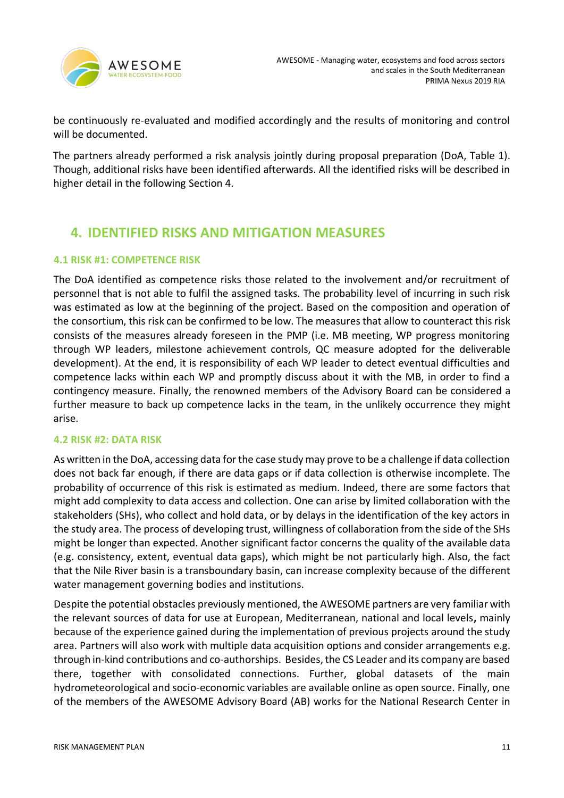

be continuously re-evaluated and modified accordingly and the results of monitoring and control will be documented.

The partners already performed a risk analysis jointly during proposal preparation (DoA, Table 1). Though, additional risks have been identified afterwards. All the identified risks will be described in higher detail in the following Section 4.

# <span id="page-10-0"></span>**4. IDENTIFIED RISKS AND MITIGATION MEASURES**

### <span id="page-10-1"></span>**4.1 RISK #1: COMPETENCE RISK**

The DoA identified as competence risks those related to the involvement and/or recruitment of personnel that is not able to fulfil the assigned tasks. The probability level of incurring in such risk was estimated as low at the beginning of the project. Based on the composition and operation of the consortium, this risk can be confirmed to be low. The measures that allow to counteract this risk consists of the measures already foreseen in the PMP (i.e. MB meeting, WP progress monitoring through WP leaders, milestone achievement controls, QC measure adopted for the deliverable development). At the end, it is responsibility of each WP leader to detect eventual difficulties and competence lacks within each WP and promptly discuss about it with the MB, in order to find a contingency measure. Finally, the renowned members of the Advisory Board can be considered a further measure to back up competence lacks in the team, in the unlikely occurrence they might arise.

### <span id="page-10-2"></span>**4.2 RISK #2: DATA RISK**

As written in the DoA, accessing data for the case study may prove to be a challenge if data collection does not back far enough, if there are data gaps or if data collection is otherwise incomplete. The probability of occurrence of this risk is estimated as medium. Indeed, there are some factors that might add complexity to data access and collection. One can arise by limited collaboration with the stakeholders (SHs), who collect and hold data, or by delays in the identification of the key actors in the study area. The process of developing trust, willingness of collaboration from the side of the SHs might be longer than expected. Another significant factor concerns the quality of the available data (e.g. consistency, extent, eventual data gaps), which might be not particularly high. Also, the fact that the Nile River basin is a transboundary basin, can increase complexity because of the different water management governing bodies and institutions.

Despite the potential obstacles previously mentioned, the AWESOME partners are very familiar with the relevant sources of data for use at European, Mediterranean, national and local levels**,** mainly because of the experience gained during the implementation of previous projects around the study area. Partners will also work with multiple data acquisition options and consider arrangements e.g. through in-kind contributions and co-authorships. Besides, the CS Leader and its company are based there, together with consolidated connections. Further, global datasets of the main hydrometeorological and socio-economic variables are available online as open source. Finally, one of the members of the AWESOME Advisory Board (AB) works for the National Research Center in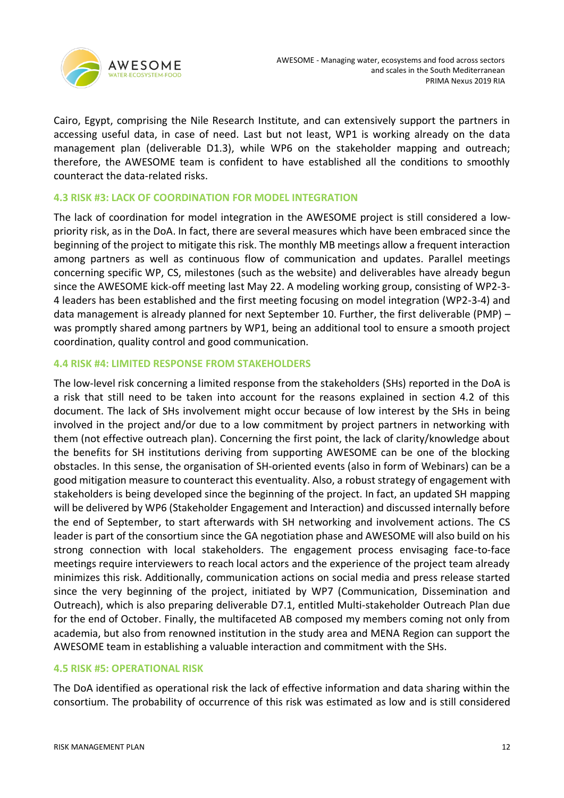

Cairo, Egypt, comprising the Nile Research Institute, and can extensively support the partners in accessing useful data, in case of need. Last but not least, WP1 is working already on the data management plan (deliverable D1.3), while WP6 on the stakeholder mapping and outreach; therefore, the AWESOME team is confident to have established all the conditions to smoothly counteract the data-related risks.

#### <span id="page-11-0"></span>**4.3 RISK #3: LACK OF COORDINATION FOR MODEL INTEGRATION**

The lack of coordination for model integration in the AWESOME project is still considered a lowpriority risk, as in the DoA. In fact, there are several measures which have been embraced since the beginning of the project to mitigate this risk. The monthly MB meetings allow a frequent interaction among partners as well as continuous flow of communication and updates. Parallel meetings concerning specific WP, CS, milestones (such as the website) and deliverables have already begun since the AWESOME kick-off meeting last May 22. A modeling working group, consisting of WP2-3- 4 leaders has been established and the first meeting focusing on model integration (WP2-3-4) and data management is already planned for next September 10. Further, the first deliverable (PMP) – was promptly shared among partners by WP1, being an additional tool to ensure a smooth project coordination, quality control and good communication.

#### <span id="page-11-1"></span>**4.4 RISK #4: LIMITED RESPONSE FROM STAKEHOLDERS**

The low-level risk concerning a limited response from the stakeholders (SHs) reported in the DoA is a risk that still need to be taken into account for the reasons explained in section 4.2 of this document. The lack of SHs involvement might occur because of low interest by the SHs in being involved in the project and/or due to a low commitment by project partners in networking with them (not effective outreach plan). Concerning the first point, the lack of clarity/knowledge about the benefits for SH institutions deriving from supporting AWESOME can be one of the blocking obstacles. In this sense, the organisation of SH-oriented events (also in form of Webinars) can be a good mitigation measure to counteract this eventuality. Also, a robust strategy of engagement with stakeholders is being developed since the beginning of the project. In fact, an updated SH mapping will be delivered by WP6 (Stakeholder Engagement and Interaction) and discussed internally before the end of September, to start afterwards with SH networking and involvement actions. The CS leader is part of the consortium since the GA negotiation phase and AWESOME will also build on his strong connection with local stakeholders. The engagement process envisaging face-to-face meetings require interviewers to reach local actors and the experience of the project team already minimizes this risk. Additionally, communication actions on social media and press release started since the very beginning of the project, initiated by WP7 (Communication, Dissemination and Outreach), which is also preparing deliverable D7.1, entitled Multi-stakeholder Outreach Plan due for the end of October. Finally, the multifaceted AB composed my members coming not only from academia, but also from renowned institution in the study area and MENA Region can support the AWESOME team in establishing a valuable interaction and commitment with the SHs.

### <span id="page-11-2"></span>**4.5 RISK #5: OPERATIONAL RISK**

The DoA identified as operational risk the lack of effective information and data sharing within the consortium. The probability of occurrence of this risk was estimated as low and is still considered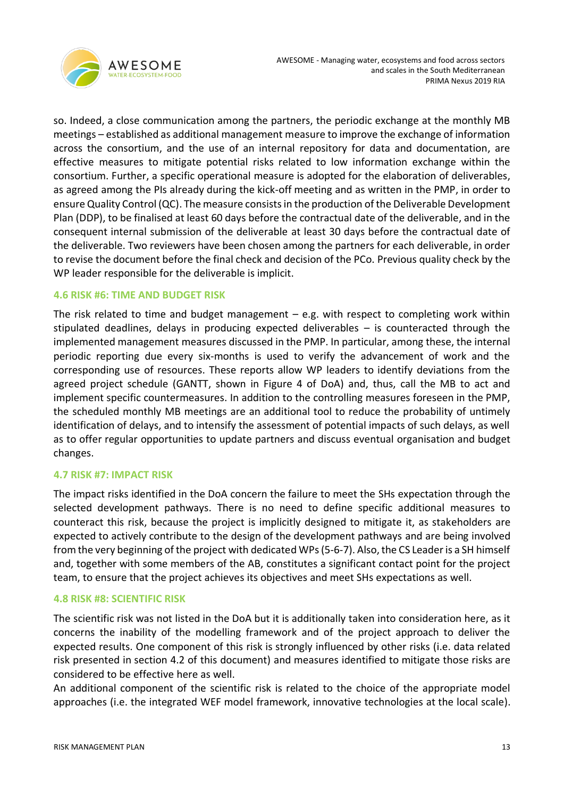

so. Indeed, a close communication among the partners, the periodic exchange at the monthly MB meetings – established as additional management measure to improve the exchange of information across the consortium, and the use of an internal repository for data and documentation, are effective measures to mitigate potential risks related to low information exchange within the consortium. Further, a specific operational measure is adopted for the elaboration of deliverables, as agreed among the PIs already during the kick-off meeting and as written in the PMP, in order to ensure Quality Control (QC). The measure consists in the production of the Deliverable Development Plan (DDP), to be finalised at least 60 days before the contractual date of the deliverable, and in the consequent internal submission of the deliverable at least 30 days before the contractual date of the deliverable. Two reviewers have been chosen among the partners for each deliverable, in order to revise the document before the final check and decision of the PCo. Previous quality check by the WP leader responsible for the deliverable is implicit.

### <span id="page-12-0"></span>**4.6 RISK #6: TIME AND BUDGET RISK**

The risk related to time and budget management  $-$  e.g. with respect to completing work within stipulated deadlines, delays in producing expected deliverables – is counteracted through the implemented management measures discussed in the PMP. In particular, among these, the internal periodic reporting due every six-months is used to verify the advancement of work and the corresponding use of resources. These reports allow WP leaders to identify deviations from the agreed project schedule (GANTT, shown in Figure 4 of DoA) and, thus, call the MB to act and implement specific countermeasures. In addition to the controlling measures foreseen in the PMP, the scheduled monthly MB meetings are an additional tool to reduce the probability of untimely identification of delays, and to intensify the assessment of potential impacts of such delays, as well as to offer regular opportunities to update partners and discuss eventual organisation and budget changes.

### <span id="page-12-1"></span>**4.7 RISK #7: IMPACT RISK**

The impact risks identified in the DoA concern the failure to meet the SHs expectation through the selected development pathways. There is no need to define specific additional measures to counteract this risk, because the project is implicitly designed to mitigate it, as stakeholders are expected to actively contribute to the design of the development pathways and are being involved from the very beginning of the project with dedicated WPs (5-6-7). Also, the CS Leader is a SH himself and, together with some members of the AB, constitutes a significant contact point for the project team, to ensure that the project achieves its objectives and meet SHs expectations as well.

### <span id="page-12-2"></span>**4.8 RISK #8: SCIENTIFIC RISK**

The scientific risk was not listed in the DoA but it is additionally taken into consideration here, as it concerns the inability of the modelling framework and of the project approach to deliver the expected results. One component of this risk is strongly influenced by other risks (i.e. data related risk presented in section 4.2 of this document) and measures identified to mitigate those risks are considered to be effective here as well.

An additional component of the scientific risk is related to the choice of the appropriate model approaches (i.e. the integrated WEF model framework, innovative technologies at the local scale).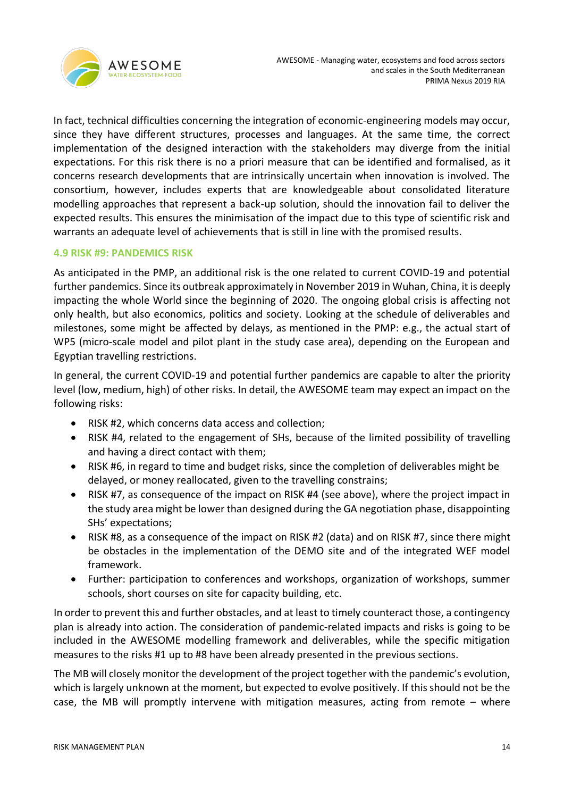

In fact, technical difficulties concerning the integration of economic-engineering models may occur, since they have different structures, processes and languages. At the same time, the correct implementation of the designed interaction with the stakeholders may diverge from the initial expectations. For this risk there is no a priori measure that can be identified and formalised, as it concerns research developments that are intrinsically uncertain when innovation is involved. The consortium, however, includes experts that are knowledgeable about consolidated literature modelling approaches that represent a back-up solution, should the innovation fail to deliver the expected results. This ensures the minimisation of the impact due to this type of scientific risk and warrants an adequate level of achievements that is still in line with the promised results.

### <span id="page-13-0"></span>**4.9 RISK #9: PANDEMICS RISK**

As anticipated in the PMP, an additional risk is the one related to current COVID-19 and potential further pandemics. Since its outbreak approximately in November 2019 in Wuhan, China, it is deeply impacting the whole World since the beginning of 2020. The ongoing global crisis is affecting not only health, but also economics, politics and society. Looking at the schedule of deliverables and milestones, some might be affected by delays, as mentioned in the PMP: e.g., the actual start of WP5 (micro-scale model and pilot plant in the study case area), depending on the European and Egyptian travelling restrictions.

In general, the current COVID-19 and potential further pandemics are capable to alter the priority level (low, medium, high) of other risks. In detail, the AWESOME team may expect an impact on the following risks:

- RISK #2, which concerns data access and collection;
- RISK #4, related to the engagement of SHs, because of the limited possibility of travelling and having a direct contact with them;
- RISK #6, in regard to time and budget risks, since the completion of deliverables might be delayed, or money reallocated, given to the travelling constrains;
- RISK #7, as consequence of the impact on RISK #4 (see above), where the project impact in the study area might be lower than designed during the GA negotiation phase, disappointing SHs' expectations;
- RISK #8, as a consequence of the impact on RISK #2 (data) and on RISK #7, since there might be obstacles in the implementation of the DEMO site and of the integrated WEF model framework.
- Further: participation to conferences and workshops, organization of workshops, summer schools, short courses on site for capacity building, etc.

In order to prevent this and further obstacles, and at least to timely counteract those, a contingency plan is already into action. The consideration of pandemic-related impacts and risks is going to be included in the AWESOME modelling framework and deliverables, while the specific mitigation measures to the risks #1 up to #8 have been already presented in the previous sections.

The MB will closely monitor the development of the project together with the pandemic's evolution, which is largely unknown at the moment, but expected to evolve positively. If this should not be the case, the MB will promptly intervene with mitigation measures, acting from remote – where